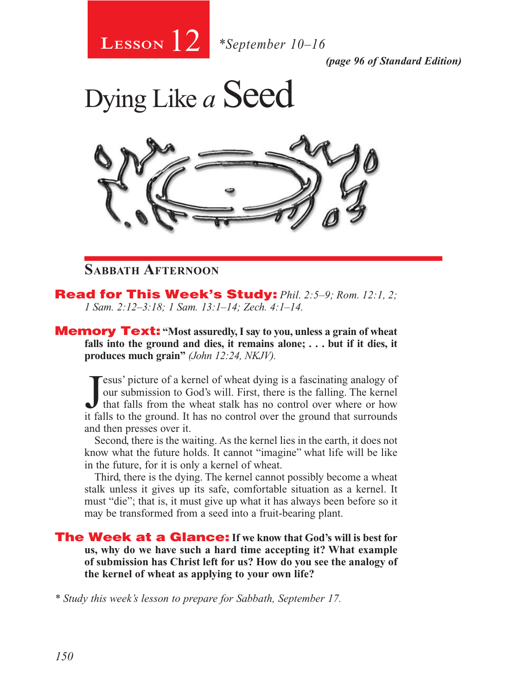

*(page 96 of Standard Edition)*

Dying Like *a* Seed



# **Sabbath Afternoon**

Read for This Week's Study: *Phil. 2:5–9; Rom. 12:1, 2; 1 Sam. 2:12–3:18; 1 Sam. 13:1–14; Zech. 4:1–14.*

**Memory Text:** "Most assuredly, I say to you, unless a grain of wheat **falls into the ground and dies, it remains alone; . . . but if it dies, it produces much grain"** *(John 12:24, NKJV).* 

Jesus' picture of a kernel of wheat dying is a fascinating analogy of our submission to God's will. First, there is the falling. The kernel that falls from the wheat stalk has no control over where or how it falls to the g esus' picture of a kernel of wheat dying is a fascinating analogy of our submission to God's will. First, there is the falling. The kernel that falls from the wheat stalk has no control over where or how and then presses over it.

Second, there is the waiting. As the kernel lies in the earth, it does not know what the future holds. It cannot "imagine" what life will be like in the future, for it is only a kernel of wheat.

Third, there is the dying. The kernel cannot possibly become a wheat stalk unless it gives up its safe, comfortable situation as a kernel. It must "die"; that is, it must give up what it has always been before so it may be transformed from a seed into a fruit-bearing plant.

The Week at a Glance: **If we know that God's will is best for us, why do we have such a hard time accepting it? What example of submission has Christ left for us? How do you see the analogy of the kernel of wheat as applying to your own life?** 

*\* Study this week's lesson to prepare for Sabbath, September 17.*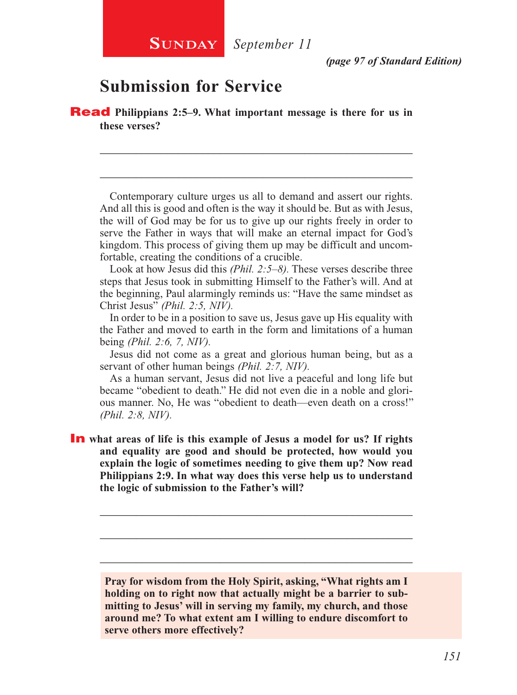# **Submission for Service**

Read **Philippians 2:5–9. What important message is there for us in these verses?**

Contemporary culture urges us all to demand and assert our rights. And all this is good and often is the way it should be. But as with Jesus, the will of God may be for us to give up our rights freely in order to serve the Father in ways that will make an eternal impact for God's kingdom. This process of giving them up may be difficult and uncomfortable, creating the conditions of a crucible.

\_\_\_\_\_\_\_\_\_\_\_\_\_\_\_\_\_\_\_\_\_\_\_\_\_\_\_\_\_\_\_\_\_\_\_\_\_\_\_\_\_\_\_\_\_\_\_\_\_\_\_\_

\_\_\_\_\_\_\_\_\_\_\_\_\_\_\_\_\_\_\_\_\_\_\_\_\_\_\_\_\_\_\_\_\_\_\_\_\_\_\_\_\_\_\_\_\_\_\_\_\_\_\_\_

Look at how Jesus did this *(Phil. 2:5–8).* These verses describe three steps that Jesus took in submitting Himself to the Father's will. And at the beginning, Paul alarmingly reminds us: "Have the same mindset as Christ Jesus" *(Phil. 2:5, NIV).*

In order to be in a position to save us, Jesus gave up His equality with the Father and moved to earth in the form and limitations of a human being *(Phil. 2:6, 7, NIV).*

Jesus did not come as a great and glorious human being, but as a servant of other human beings *(Phil. 2:7, NIV).*

As a human servant, Jesus did not live a peaceful and long life but became "obedient to death." He did not even die in a noble and glorious manner. No, He was "obedient to death—even death on a cross!" *(Phil. 2:8, NIV).*

In what areas of life is this example of Jesus a model for us? If rights **and equality are good and should be protected, how would you explain the logic of sometimes needing to give them up? Now read Philippians 2:9. In what way does this verse help us to understand the logic of submission to the Father's will?**

**Pray for wisdom from the Holy Spirit, asking, "What rights am I holding on to right now that actually might be a barrier to submitting to Jesus' will in serving my family, my church, and those around me? To what extent am I willing to endure discomfort to serve others more effectively?**

\_\_\_\_\_\_\_\_\_\_\_\_\_\_\_\_\_\_\_\_\_\_\_\_\_\_\_\_\_\_\_\_\_\_\_\_\_\_\_\_\_\_\_\_\_\_\_\_\_\_\_\_

\_\_\_\_\_\_\_\_\_\_\_\_\_\_\_\_\_\_\_\_\_\_\_\_\_\_\_\_\_\_\_\_\_\_\_\_\_\_\_\_\_\_\_\_\_\_\_\_\_\_\_\_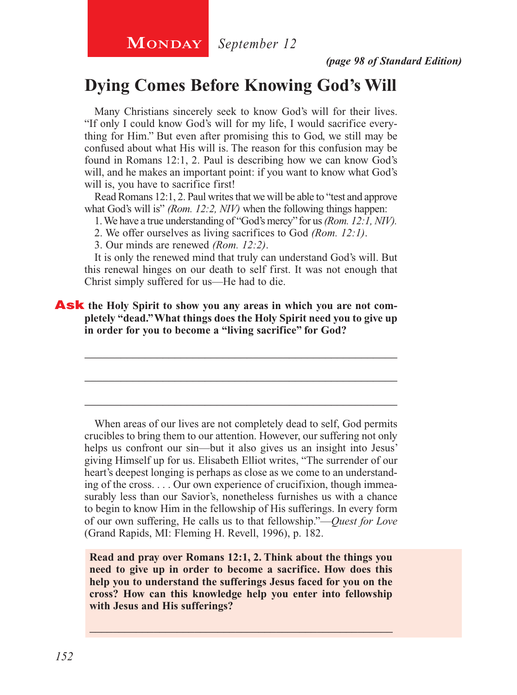*(page 98 of Standard Edition)*

# **Dying Comes Before Knowing God's Will**

Many Christians sincerely seek to know God's will for their lives. "If only I could know God's will for my life, I would sacrifice everything for Him." But even after promising this to God, we still may be confused about what His will is. The reason for this confusion may be found in Romans 12:1, 2. Paul is describing how we can know God's will, and he makes an important point: if you want to know what God's will is, you have to sacrifice first!

Read Romans 12:1, 2. Paul writes that we will be able to "test and approve what God's will is" *(Rom. 12:2, NIV)* when the following things happen:

1. We have a true understanding of "God's mercy" for us *(Rom. 12:1, NIV).*

2. We offer ourselves as living sacrifices to God *(Rom. 12:1)*.

3. Our minds are renewed *(Rom. 12:2)*.

It is only the renewed mind that truly can understand God's will. But this renewal hinges on our death to self first. It was not enough that Christ simply suffered for us—He had to die.

\_\_\_\_\_\_\_\_\_\_\_\_\_\_\_\_\_\_\_\_\_\_\_\_\_\_\_\_\_\_\_\_\_\_\_\_\_\_\_\_\_\_\_\_\_\_\_\_\_\_\_\_

\_\_\_\_\_\_\_\_\_\_\_\_\_\_\_\_\_\_\_\_\_\_\_\_\_\_\_\_\_\_\_\_\_\_\_\_\_\_\_\_\_\_\_\_\_\_\_\_\_\_\_\_

\_\_\_\_\_\_\_\_\_\_\_\_\_\_\_\_\_\_\_\_\_\_\_\_\_\_\_\_\_\_\_\_\_\_\_\_\_\_\_\_\_\_\_\_\_\_\_\_\_\_\_\_

**Ask** the Holy Spirit to show you any areas in which you are not com**pletely "dead." What things does the Holy Spirit need you to give up in order for you to become a "living sacrifice" for God?** 

When areas of our lives are not completely dead to self, God permits crucibles to bring them to our attention. However, our suffering not only helps us confront our sin—but it also gives us an insight into Jesus' giving Himself up for us. Elisabeth Elliot writes, "The surrender of our heart's deepest longing is perhaps as close as we come to an understanding of the cross. . . . Our own experience of crucifixion, though immeasurably less than our Savior's, nonetheless furnishes us with a chance to begin to know Him in the fellowship of His sufferings. In every form of our own suffering, He calls us to that fellowship."—*Quest for Love*  (Grand Rapids, MI: Fleming H. Revell, 1996), p. 182.

**Read and pray over Romans 12:1, 2. Think about the things you need to give up in order to become a sacrifice. How does this help you to understand the sufferings Jesus faced for you on the cross? How can this knowledge help you enter into fellowship with Jesus and His sufferings?**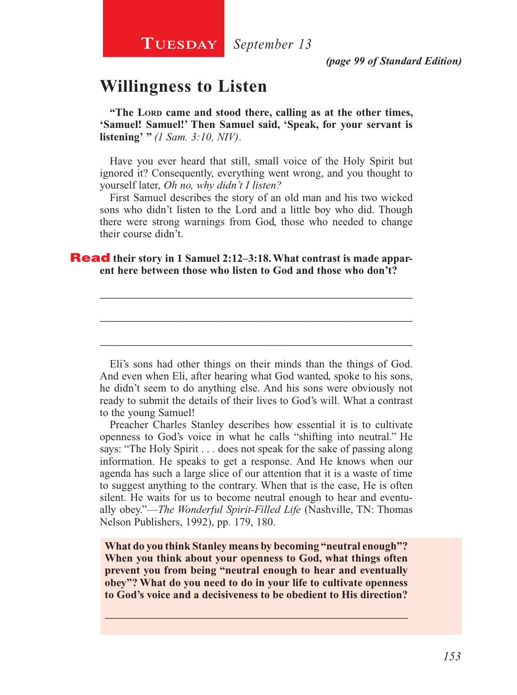# **Willingness to Listen**

"The LORD came and stood there, calling as at the other times, **'Samuel! Samuel!' Then Samuel said, 'Speak, for your servant is listening' "** *(1 Sam. 3:10, NIV)*.

Have you ever heard that still, small voice of the Holy Spirit but ignored it? Consequently, everything went wrong, and you thought to yourself later, *Oh no, why didn't I listen?*

First Samuel describes the story of an old man and his two wicked sons who didn't listen to the Lord and a little boy who did. Though there were strong warnings from God, those who needed to change their course didn't.

\_\_\_\_\_\_\_\_\_\_\_\_\_\_\_\_\_\_\_\_\_\_\_\_\_\_\_\_\_\_\_\_\_\_\_\_\_\_\_\_\_\_\_\_\_\_\_\_\_\_\_\_

\_\_\_\_\_\_\_\_\_\_\_\_\_\_\_\_\_\_\_\_\_\_\_\_\_\_\_\_\_\_\_\_\_\_\_\_\_\_\_\_\_\_\_\_\_\_\_\_\_\_\_\_

\_\_\_\_\_\_\_\_\_\_\_\_\_\_\_\_\_\_\_\_\_\_\_\_\_\_\_\_\_\_\_\_\_\_\_\_\_\_\_\_\_\_\_\_\_\_\_\_\_\_\_\_

### **Read** their story in 1 Samuel 2:12–3:18. What contrast is made appar**ent here between those who listen to God and those who don't?**

Eli's sons had other things on their minds than the things of God. And even when Eli, after hearing what God wanted, spoke to his sons, he didn't seem to do anything else. And his sons were obviously not ready to submit the details of their lives to God's will. What a contrast to the young Samuel!

Preacher Charles Stanley describes how essential it is to cultivate openness to God's voice in what he calls "shifting into neutral." He says: "The Holy Spirit . . . does not speak for the sake of passing along information. He speaks to get a response. And He knows when our agenda has such a large slice of our attention that it is a waste of time to suggest anything to the contrary. When that is the case, He is often silent. He waits for us to become neutral enough to hear and eventually obey."—*The Wonderful Spirit-Filled Life* (Nashville, TN: Thomas Nelson Publishers, 1992), pp. 179, 180.

**What do you think Stanley means by becoming "neutral enough"? When you think about your openness to God, what things often prevent you from being "neutral enough to hear and eventually obey"? What do you need to do in your life to cultivate openness to God's voice and a decisiveness to be obedient to His direction?**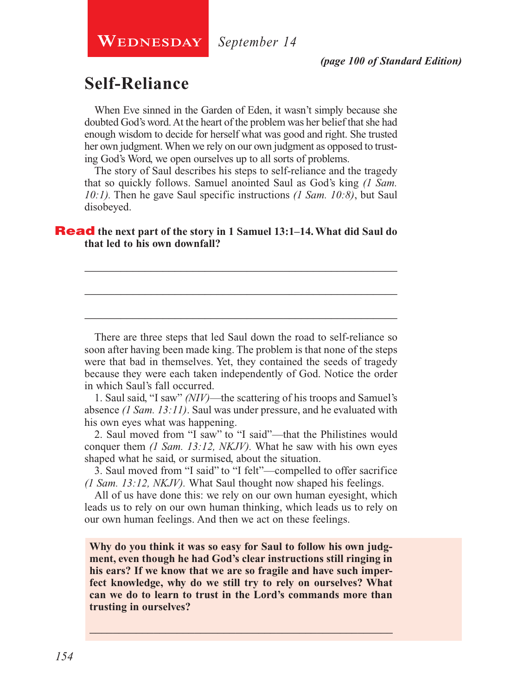**Wednesday**

*September 14*

# **Self-Reliance**

When Eve sinned in the Garden of Eden, it wasn't simply because she doubted God's word. At the heart of the problem was her belief that she had enough wisdom to decide for herself what was good and right. She trusted her own judgment. When we rely on our own judgment as opposed to trusting God's Word, we open ourselves up to all sorts of problems.

The story of Saul describes his steps to self-reliance and the tragedy that so quickly follows. Samuel anointed Saul as God's king *(1 Sam. 10:1).* Then he gave Saul specific instructions *(1 Sam. 10:8)*, but Saul disobeyed.

\_\_\_\_\_\_\_\_\_\_\_\_\_\_\_\_\_\_\_\_\_\_\_\_\_\_\_\_\_\_\_\_\_\_\_\_\_\_\_\_\_\_\_\_\_\_\_\_\_\_\_\_

\_\_\_\_\_\_\_\_\_\_\_\_\_\_\_\_\_\_\_\_\_\_\_\_\_\_\_\_\_\_\_\_\_\_\_\_\_\_\_\_\_\_\_\_\_\_\_\_\_\_\_\_

\_\_\_\_\_\_\_\_\_\_\_\_\_\_\_\_\_\_\_\_\_\_\_\_\_\_\_\_\_\_\_\_\_\_\_\_\_\_\_\_\_\_\_\_\_\_\_\_\_\_\_\_

### Read **the next part of the story in 1 Samuel 13:1–14. What did Saul do that led to his own downfall?**

There are three steps that led Saul down the road to self-reliance so soon after having been made king. The problem is that none of the steps were that bad in themselves. Yet, they contained the seeds of tragedy because they were each taken independently of God. Notice the order in which Saul's fall occurred.

1. Saul said, "I saw" *(NIV)*—the scattering of his troops and Samuel's absence *(1 Sam. 13:11)*. Saul was under pressure, and he evaluated with his own eyes what was happening.

2. Saul moved from "I saw" to "I said"—that the Philistines would conquer them *(1 Sam. 13:12, NKJV).* What he saw with his own eyes shaped what he said, or surmised, about the situation.

3. Saul moved from "I said" to "I felt"—compelled to offer sacrifice *(1 Sam. 13:12, NKJV).* What Saul thought now shaped his feelings.

All of us have done this: we rely on our own human eyesight, which leads us to rely on our own human thinking, which leads us to rely on our own human feelings. And then we act on these feelings.

**Why do you think it was so easy for Saul to follow his own judgment, even though he had God's clear instructions still ringing in his ears? If we know that we are so fragile and have such imperfect knowledge, why do we still try to rely on ourselves? What can we do to learn to trust in the Lord's commands more than trusting in ourselves?**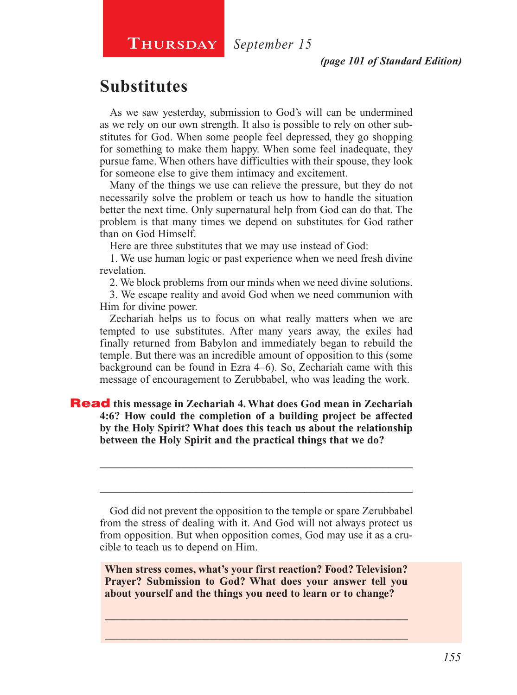### **Thursday** *September 15*

# **Substitutes**

As we saw yesterday, submission to God's will can be undermined as we rely on our own strength. It also is possible to rely on other substitutes for God. When some people feel depressed, they go shopping for something to make them happy. When some feel inadequate, they pursue fame. When others have difficulties with their spouse, they look for someone else to give them intimacy and excitement.

Many of the things we use can relieve the pressure, but they do not necessarily solve the problem or teach us how to handle the situation better the next time. Only supernatural help from God can do that. The problem is that many times we depend on substitutes for God rather than on God Himself.

Here are three substitutes that we may use instead of God:

1. We use human logic or past experience when we need fresh divine revelation.

2. We block problems from our minds when we need divine solutions.

3. We escape reality and avoid God when we need communion with Him for divine power.

Zechariah helps us to focus on what really matters when we are tempted to use substitutes. After many years away, the exiles had finally returned from Babylon and immediately began to rebuild the temple. But there was an incredible amount of opposition to this (some background can be found in Ezra 4–6). So, Zechariah came with this message of encouragement to Zerubbabel, who was leading the work.

### Read **this message in Zechariah 4. What does God mean in Zechariah 4:6? How could the completion of a building project be affected by the Holy Spirit? What does this teach us about the relationship between the Holy Spirit and the practical things that we do?**

God did not prevent the opposition to the temple or spare Zerubbabel from the stress of dealing with it. And God will not always protect us from opposition. But when opposition comes, God may use it as a crucible to teach us to depend on Him.

\_\_\_\_\_\_\_\_\_\_\_\_\_\_\_\_\_\_\_\_\_\_\_\_\_\_\_\_\_\_\_\_\_\_\_\_\_\_\_\_\_\_\_\_\_\_\_\_\_\_\_\_

\_\_\_\_\_\_\_\_\_\_\_\_\_\_\_\_\_\_\_\_\_\_\_\_\_\_\_\_\_\_\_\_\_\_\_\_\_\_\_\_\_\_\_\_\_\_\_\_\_\_\_\_

**When stress comes, what's your first reaction? Food? Television? Prayer? Submission to God? What does your answer tell you about yourself and the things you need to learn or to change?**

\_\_\_\_\_\_\_\_\_\_\_\_\_\_\_\_\_\_\_\_\_\_\_\_\_\_\_\_\_\_\_\_\_\_\_\_\_\_\_\_\_\_\_\_\_\_\_\_\_\_\_\_ \_\_\_\_\_\_\_\_\_\_\_\_\_\_\_\_\_\_\_\_\_\_\_\_\_\_\_\_\_\_\_\_\_\_\_\_\_\_\_\_\_\_\_\_\_\_\_\_\_\_\_\_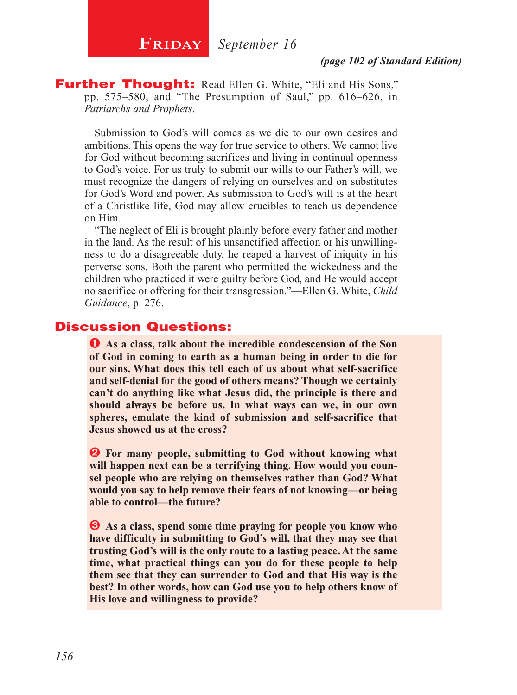**FRIDAY** September 16

### *(page 102 of Standard Edition)*

**Further Thought:** Read Ellen G. White, "Eli and His Sons," pp. 575–580, and "The Presumption of Saul," pp. 616–626, in *Patriarchs and Prophets*.

Submission to God's will comes as we die to our own desires and ambitions. This opens the way for true service to others. We cannot live for God without becoming sacrifices and living in continual openness to God's voice. For us truly to submit our wills to our Father's will, we must recognize the dangers of relying on ourselves and on substitutes for God's Word and power. As submission to God's will is at the heart of a Christlike life, God may allow crucibles to teach us dependence on Him.

"The neglect of Eli is brought plainly before every father and mother in the land. As the result of his unsanctified affection or his unwillingness to do a disagreeable duty, he reaped a harvest of iniquity in his perverse sons. Both the parent who permitted the wickedness and the children who practiced it were guilty before God, and He would accept no sacrifice or offering for their transgression."—Ellen G. White, *Child Guidance*, p. 276.

### Discussion Questions:

Ê **As a class, talk about the incredible condescension of the Son of God in coming to earth as a human being in order to die for our sins. What does this tell each of us about what self-sacrifice and self-denial for the good of others means? Though we certainly can't do anything like what Jesus did, the principle is there and should always be before us. In what ways can we, in our own spheres, emulate the kind of submission and self-sacrifice that Jesus showed us at the cross?**

 $\bullet$  For many people, submitting to God without knowing what **will happen next can be a terrifying thing. How would you counsel people who are relying on themselves rather than God? What would you say to help remove their fears of not knowing—or being able to control—the future?**

 $\bullet$  As a class, spend some time praying for people you know who **have difficulty in submitting to God's will, that they may see that trusting God's will is the only route to a lasting peace. At the same time, what practical things can you do for these people to help them see that they can surrender to God and that His way is the best? In other words, how can God use you to help others know of His love and willingness to provide?**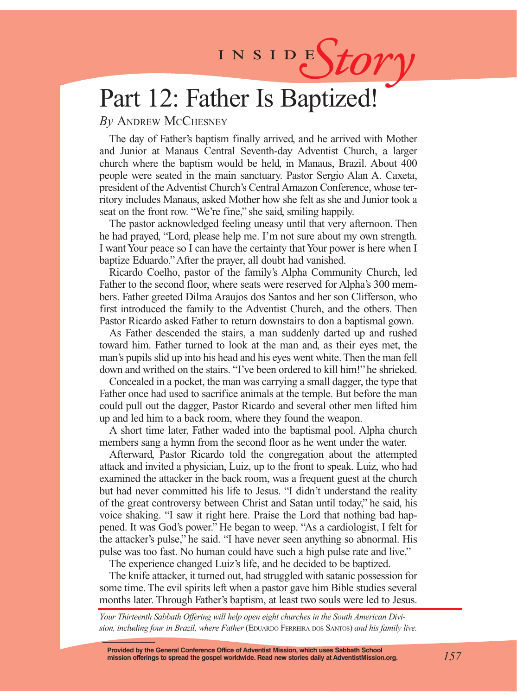# INSIDES*tory*

# Part 12: Father Is Baptized!

### *By* Andrew McChesney

The day of Father's baptism finally arrived, and he arrived with Mother and Junior at Manaus Central Seventh-day Adventist Church, a larger church where the baptism would be held, in Manaus, Brazil. About 400 people were seated in the main sanctuary. Pastor Sergio Alan A. Caxeta, president of the Adventist Church's Central Amazon Conference, whose territory includes Manaus, asked Mother how she felt as she and Junior took a seat on the front row. "We're fine," she said, smiling happily.

The pastor acknowledged feeling uneasy until that very afternoon. Then he had prayed, "Lord, please help me. I'm not sure about my own strength. I want Your peace so I can have the certainty that Your power is here when I baptize Eduardo." After the prayer, all doubt had vanished.

Ricardo Coelho, pastor of the family's Alpha Community Church, led Father to the second floor, where seats were reserved for Alpha's 300 members. Father greeted Dilma Araujos dos Santos and her son Clifferson, who first introduced the family to the Adventist Church, and the others. Then Pastor Ricardo asked Father to return downstairs to don a baptismal gown.

As Father descended the stairs, a man suddenly darted up and rushed toward him. Father turned to look at the man and, as their eyes met, the man's pupils slid up into his head and his eyes went white. Then the man fell down and writhed on the stairs. "I've been ordered to kill him!" he shrieked.

Concealed in a pocket, the man was carrying a small dagger, the type that Father once had used to sacrifice animals at the temple. But before the man could pull out the dagger, Pastor Ricardo and several other men lifted him up and led him to a back room, where they found the weapon.

A short time later, Father waded into the baptismal pool. Alpha church members sang a hymn from the second floor as he went under the water.

Afterward, Pastor Ricardo told the congregation about the attempted attack and invited a physician, Luiz, up to the front to speak. Luiz, who had examined the attacker in the back room, was a frequent guest at the church but had never committed his life to Jesus. "I didn't understand the reality of the great controversy between Christ and Satan until today," he said, his voice shaking. "I saw it right here. Praise the Lord that nothing bad happened. It was God's power." He began to weep. "As a cardiologist, I felt for the attacker's pulse," he said. "I have never seen anything so abnormal. His pulse was too fast. No human could have such a high pulse rate and live."

The experience changed Luiz's life, and he decided to be baptized.

The knife attacker, it turned out, had struggled with satanic possession for some time. The evil spirits left when a pastor gave him Bible studies several months later. Through Father's baptism, at least two souls were led to Jesus.

*Your Thirteenth Sabbath Offering will help open eight churches in the South American Divi*sion. including four in Brazil, where Father (EDUARDO FERREIRA DOS SANTOS) and his family live.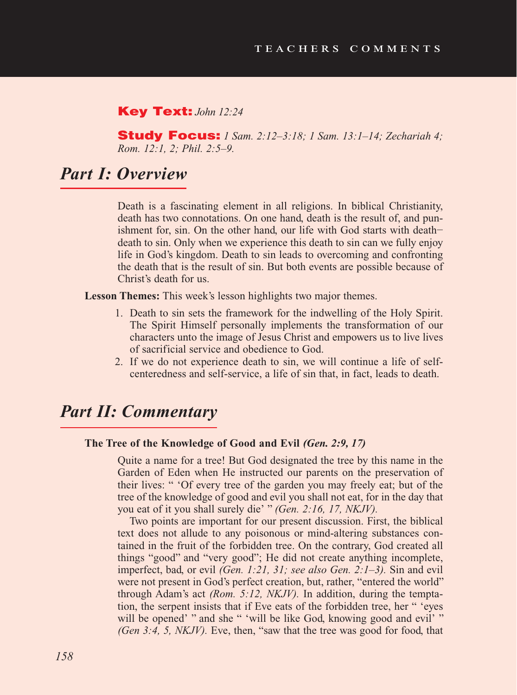### Key Text: *John 12:24*

Study Focus: *1 Sam. 2:12–3:18; 1 Sam. 13:1–14; Zechariah 4; Rom. 12:1, 2; Phil. 2:5–9.*

# *Part I: Overview*

Death is a fascinating element in all religions. In biblical Christianity, death has two connotations. On one hand, death is the result of, and punishment for, sin. On the other hand, our life with God starts with death− death to sin. Only when we experience this death to sin can we fully enjoy life in God's kingdom. Death to sin leads to overcoming and confronting the death that is the result of sin. But both events are possible because of Christ's death for us.

**Lesson Themes:** This week's lesson highlights two major themes.

- 1. Death to sin sets the framework for the indwelling of the Holy Spirit. The Spirit Himself personally implements the transformation of our characters unto the image of Jesus Christ and empowers us to live lives of sacrificial service and obedience to God.
- 2. If we do not experience death to sin, we will continue a life of selfcenteredness and self-service, a life of sin that, in fact, leads to death.

# *Part II: Commentary*

#### **The Tree of the Knowledge of Good and Evil** *(Gen. 2:9, 17)*

Quite a name for a tree! But God designated the tree by this name in the Garden of Eden when He instructed our parents on the preservation of their lives: " 'Of every tree of the garden you may freely eat; but of the tree of the knowledge of good and evil you shall not eat, for in the day that you eat of it you shall surely die' " *(Gen. 2:16, 17, NKJV).*

Two points are important for our present discussion. First, the biblical text does not allude to any poisonous or mind-altering substances contained in the fruit of the forbidden tree. On the contrary, God created all things "good" and "very good"; He did not create anything incomplete, imperfect, bad, or evil *(Gen. 1:21, 31; see also Gen. 2:1–3).* Sin and evil were not present in God's perfect creation, but, rather, "entered the world" through Adam's act *(Rom. 5:12, NKJV).* In addition, during the temptation, the serpent insists that if Eve eats of the forbidden tree, her " 'eyes will be opened' " and she " 'will be like God, knowing good and evil' " *(Gen 3:4, 5, NKJV).* Eve, then, "saw that the tree was good for food, that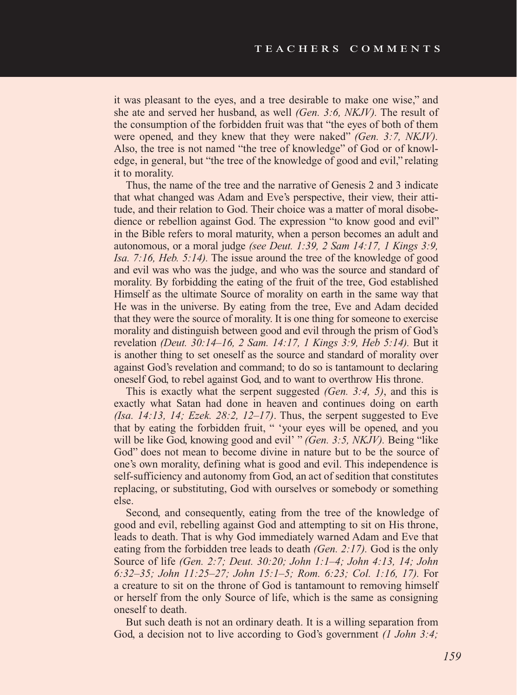it was pleasant to the eyes, and a tree desirable to make one wise," and she ate and served her husband, as well *(Gen. 3:6, NKJV).* The result of the consumption of the forbidden fruit was that "the eyes of both of them were opened, and they knew that they were naked" *(Gen. 3:7, NKJV).* Also, the tree is not named "the tree of knowledge" of God or of knowledge, in general, but "the tree of the knowledge of good and evil," relating it to morality.

Thus, the name of the tree and the narrative of Genesis 2 and 3 indicate that what changed was Adam and Eve's perspective, their view, their attitude, and their relation to God. Their choice was a matter of moral disobedience or rebellion against God. The expression "to know good and evil" in the Bible refers to moral maturity, when a person becomes an adult and autonomous, or a moral judge *(see Deut. 1:39, 2 Sam 14:17, 1 Kings 3:9, Isa. 7:16, Heb. 5:14).* The issue around the tree of the knowledge of good and evil was who was the judge, and who was the source and standard of morality. By forbidding the eating of the fruit of the tree, God established Himself as the ultimate Source of morality on earth in the same way that He was in the universe. By eating from the tree, Eve and Adam decided that they were the source of morality. It is one thing for someone to exercise morality and distinguish between good and evil through the prism of God's revelation *(Deut. 30:14–16, 2 Sam. 14:17, 1 Kings 3:9, Heb 5:14).* But it is another thing to set oneself as the source and standard of morality over against God's revelation and command; to do so is tantamount to declaring oneself God, to rebel against God, and to want to overthrow His throne.

This is exactly what the serpent suggested *(Gen. 3:4, 5)*, and this is exactly what Satan had done in heaven and continues doing on earth *(Isa. 14:13, 14; Ezek. 28:2, 12–17)*. Thus, the serpent suggested to Eve that by eating the forbidden fruit, " 'your eyes will be opened, and you will be like God, knowing good and evil' " *(Gen. 3:5, NKJV).* Being "like God" does not mean to become divine in nature but to be the source of one's own morality, defining what is good and evil. This independence is self-sufficiency and autonomy from God, an act of sedition that constitutes replacing, or substituting, God with ourselves or somebody or something else.

Second, and consequently, eating from the tree of the knowledge of good and evil, rebelling against God and attempting to sit on His throne, leads to death. That is why God immediately warned Adam and Eve that eating from the forbidden tree leads to death *(Gen. 2:17).* God is the only Source of life *(Gen. 2:7; Deut. 30:20; John 1:1–4; John 4:13, 14; John 6:32–35; John 11:25–27; John 15:1–5; Rom. 6:23; Col. 1:16, 17).* For a creature to sit on the throne of God is tantamount to removing himself or herself from the only Source of life, which is the same as consigning oneself to death.

But such death is not an ordinary death. It is a willing separation from God, a decision not to live according to God's government *(1 John 3:4;*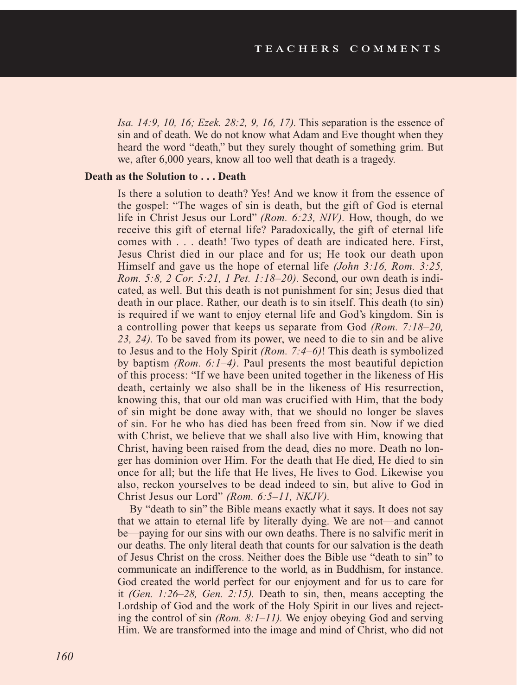*Isa. 14:9, 10, 16; Ezek. 28:2, 9, 16, 17).* This separation is the essence of sin and of death. We do not know what Adam and Eve thought when they heard the word "death," but they surely thought of something grim. But we, after 6,000 years, know all too well that death is a tragedy.

### **Death as the Solution to . . . Death**

Is there a solution to death? Yes! And we know it from the essence of the gospel: "The wages of sin is death, but the gift of God is eternal life in Christ Jesus our Lord" *(Rom. 6:23, NIV).* How, though, do we receive this gift of eternal life? Paradoxically, the gift of eternal life comes with . . . death! Two types of death are indicated here. First, Jesus Christ died in our place and for us; He took our death upon Himself and gave us the hope of eternal life *(John 3:16, Rom. 3:25, Rom. 5:8, 2 Cor. 5:21, 1 Pet. 1:18–20).* Second, our own death is indicated, as well. But this death is not punishment for sin; Jesus died that death in our place. Rather, our death is to sin itself. This death (to sin) is required if we want to enjoy eternal life and God's kingdom. Sin is a controlling power that keeps us separate from God *(Rom. 7:18–20, 23, 24).* To be saved from its power, we need to die to sin and be alive to Jesus and to the Holy Spirit *(Rom. 7:4–6)*! This death is symbolized by baptism *(Rom. 6:1–4)*. Paul presents the most beautiful depiction of this process: "If we have been united together in the likeness of His death, certainly we also shall be in the likeness of His resurrection, knowing this, that our old man was crucified with Him, that the body of sin might be done away with, that we should no longer be slaves of sin. For he who has died has been freed from sin. Now if we died with Christ, we believe that we shall also live with Him, knowing that Christ, having been raised from the dead, dies no more. Death no longer has dominion over Him. For the death that He died, He died to sin once for all; but the life that He lives, He lives to God. Likewise you also, reckon yourselves to be dead indeed to sin, but alive to God in Christ Jesus our Lord" *(Rom. 6:5–11, NKJV).*

By "death to sin" the Bible means exactly what it says. It does not say that we attain to eternal life by literally dying. We are not—and cannot be—paying for our sins with our own deaths. There is no salvific merit in our deaths. The only literal death that counts for our salvation is the death of Jesus Christ on the cross. Neither does the Bible use "death to sin" to communicate an indifference to the world, as in Buddhism, for instance. God created the world perfect for our enjoyment and for us to care for it *(Gen. 1:26–28, Gen. 2:15).* Death to sin, then, means accepting the Lordship of God and the work of the Holy Spirit in our lives and rejecting the control of sin *(Rom. 8:1–11).* We enjoy obeying God and serving Him. We are transformed into the image and mind of Christ, who did not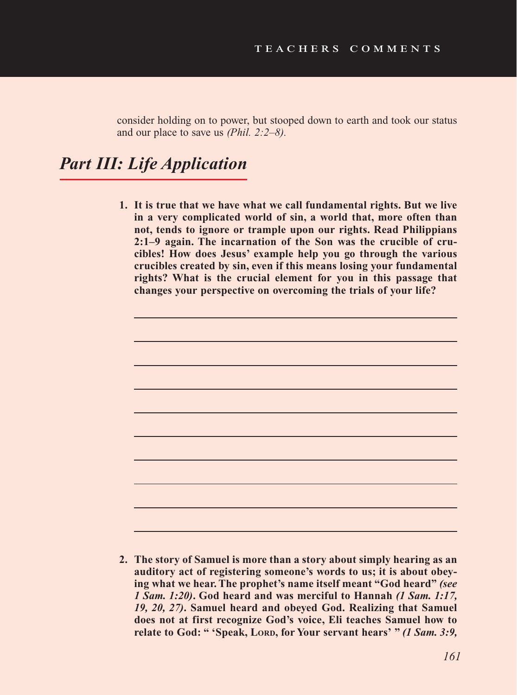consider holding on to power, but stooped down to earth and took our status and our place to save us *(Phil. 2:2–8).*

# *Part III: Life Application*

**1. It is true that we have what we call fundamental rights. But we live in a very complicated world of sin, a world that, more often than not, tends to ignore or trample upon our rights. Read Philippians 2:1–9 again. The incarnation of the Son was the crucible of crucibles! How does Jesus' example help you go through the various crucibles created by sin, even if this means losing your fundamental rights? What is the crucial element for you in this passage that changes your perspective on overcoming the trials of your life?**